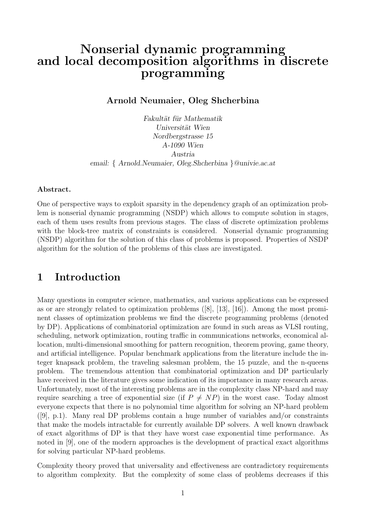# Nonserial dynamic programming and local decomposition algorithms in discrete programming

Arnold Neumaier, Oleg Shcherbina

Fakultät für Mathematik Universität Wien Nordbergstrasse 15 A-1090 Wien Austria email: { Arnold.Neumaier, Oleg.Shcherbina }@univie.ac.at

#### Abstract.

One of perspective ways to exploit sparsity in the dependency graph of an optimization problem is nonserial dynamic programming (NSDP) which allows to compute solution in stages, each of them uses results from previous stages. The class of discrete optimization problems with the block-tree matrix of constraints is considered. Nonserial dynamic programming (NSDP) algorithm for the solution of this class of problems is proposed. Properties of NSDP algorithm for the solution of the problems of this class are investigated.

#### 1 Introduction

Many questions in computer science, mathematics, and various applications can be expressed as or are strongly related to optimization problems ([8], [13], [16]). Among the most prominent classes of optimization problems we find the discrete programming problems (denoted by DP). Applications of combinatorial optimization are found in such areas as VLSI routing, scheduling, network optimization, routing traffic in communications networks, economical allocation, multi-dimensional smoothing for pattern recognition, theorem proving, game theory, and artificial intelligence. Popular benchmark applications from the literature include the integer knapsack problem, the traveling salesman problem, the 15 puzzle, and the n-queens problem. The tremendous attention that combinatorial optimization and DP particularly have received in the literature gives some indication of its importance in many research areas. Unfortunately, most of the interesting problems are in the complexity class NP-hard and may require searching a tree of exponential size (if  $P \neq NP$ ) in the worst case. Today almost everyone expects that there is no polynomial time algorithm for solving an NP-hard problem  $([9], p.1)$ . Many real DP problems contain a huge number of variables and/or constraints that make the models intractable for currently available DP solvers. A well known drawback of exact algorithms of DP is that they have worst case exponential time performance. As noted in [9], one of the modern approaches is the development of practical exact algorithms for solving particular NP-hard problems.

Complexity theory proved that universality and effectiveness are contradictory requirements to algorithm complexity. But the complexity of some class of problems decreases if this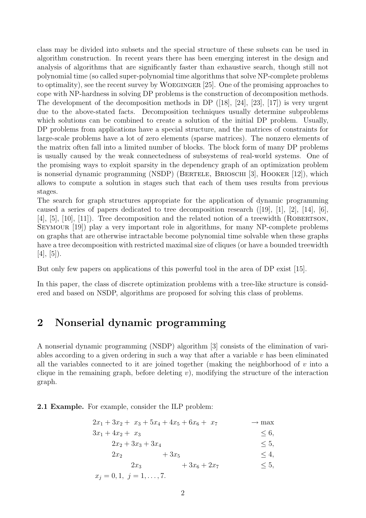class may be divided into subsets and the special structure of these subsets can be used in algorithm construction. In recent years there has been emerging interest in the design and analysis of algorithms that are significantly faster than exhaustive search, though still not polynomial time (so called super-polynomial time algorithms that solve NP-complete problems to optimality), see the recent survey by Woeginger [25]. One of the promising approaches to cope with NP-hardness in solving DP problems is the construction of decomposition methods. The development of the decomposition methods in DP  $([18], [24], [23], [17])$  is very urgent due to the above-stated facts. Decomposition techniques usually determine subproblems which solutions can be combined to create a solution of the initial DP problem. Usually, DP problems from applications have a special structure, and the matrices of constraints for large-scale problems have a lot of zero elements (sparse matrices). The nonzero elements of the matrix often fall into a limited number of blocks. The block form of many DP problems is usually caused by the weak connectedness of subsystems of real-world systems. One of the promising ways to exploit sparsity in the dependency graph of an optimization problem is nonserial dynamic programming (NSDP) (BERTELE, BRIOSCHI [3], HOOKER [12]), which allows to compute a solution in stages such that each of them uses results from previous stages.

The search for graph structures appropriate for the application of dynamic programming caused a series of papers dedicated to tree decomposition research ([19], [1], [2], [14], [6], [4],  $[5]$ ,  $[10]$ ,  $[11]$ ). Tree decomposition and the related notion of a treewidth (ROBERTSON, Seymour [19]) play a very important role in algorithms, for many NP-complete problems on graphs that are otherwise intractable become polynomial time solvable when these graphs have a tree decomposition with restricted maximal size of cliques (or have a bounded treewidth  $[4], [5]$ ).

But only few papers on applications of this powerful tool in the area of DP exist [15].

In this paper, the class of discrete optimization problems with a tree-like structure is considered and based on NSDP, algorithms are proposed for solving this class of problems.

### 2 Nonserial dynamic programming

A nonserial dynamic programming (NSDP) algorithm [3] consists of the elimination of variables according to a given ordering in such a way that after a variable  $v$  has been eliminated all the variables connected to it are joined together (making the neighborhood of  $v$  into a clique in the remaining graph, before deleting  $v$ ), modifying the structure of the interaction graph.

2.1 Example. For example, consider the ILP problem:

| $2x_1 + 3x_2 + x_3 + 5x_4 + 4x_5 + 6x_6 + x_7$ |              | $\rightarrow$ max |
|------------------------------------------------|--------------|-------------------|
| $3x_1 + 4x_2 + x_3$                            |              | $< 6$ ,           |
| $2x_2 + 3x_3 + 3x_4$                           |              | $\leq 5$ ,        |
| $2x_2$                                         | $+3x_5$      | $\leq 4,$         |
| $2x_3$                                         | $+3x_6+2x_7$ | $\leq 5$ ,        |
| $x_j = 0, 1, j = 1, \ldots, 7.$                |              |                   |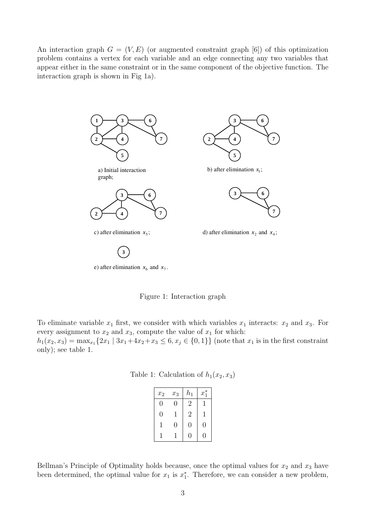An interaction graph  $G = (V, E)$  (or augmented constraint graph [6]) of this optimization problem contains a vertex for each variable and an edge connecting any two variables that appear either in the same constraint or in the same component of the objective function. The interaction graph is shown in Fig 1a).



Figure 1: Interaction graph

To eliminate variable  $x_1$  first, we consider with which variables  $x_1$  interacts:  $x_2$  and  $x_3$ . For every assignment to  $x_2$  and  $x_3$ , compute the value of  $x_1$  for which:

 $h_1(x_2, x_3) = \max_{x_1} \{2x_1 \mid 3x_1 + 4x_2 + x_3 \le 6, x_j \in \{0, 1\}\}\$  (note that  $x_1$  is in the first constraint only); see table 1.

|  | Table 1: Calculation of $h_1(x_2, x_3)$ |  |  |
|--|-----------------------------------------|--|--|
|--|-----------------------------------------|--|--|

| $\boldsymbol{x}_2$ | $\boldsymbol{x}_3$ | $h_{1}$        | $x_1^*$ |
|--------------------|--------------------|----------------|---------|
| $\left( \right)$   | 0                  | $\overline{2}$ |         |
| 0                  | 1                  | $\sqrt{2}$     | 1       |
| 1                  | 0                  | $\overline{0}$ | 0       |
|                    |                    | 1              | 1       |

Bellman's Principle of Optimality holds because, once the optimal values for  $x_2$  and  $x_3$  have been determined, the optimal value for  $x_1$  is  $x_1^*$ . Therefore, we can consider a new problem,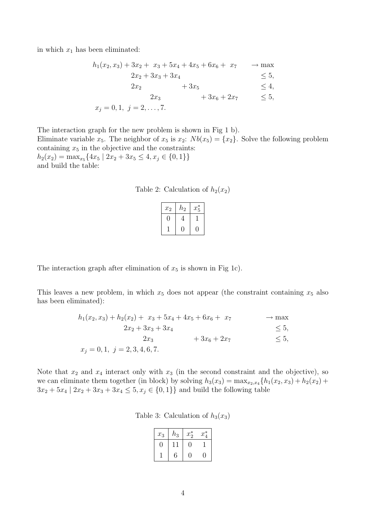in which  $x_1$  has been eliminated:

$$
h_1(x_2, x_3) + 3x_2 + x_3 + 5x_4 + 4x_5 + 6x_6 + x_7 \rightarrow \max
$$
  
\n
$$
2x_2 + 3x_3 + 3x_4 \le 5,
$$
  
\n
$$
2x_2 + 3x_5 \le 4,
$$
  
\n
$$
2x_3 + 3x_6 + 2x_7 \le 5,
$$
  
\n
$$
x_j = 0, 1, j = 2, ..., 7.
$$

The interaction graph for the new problem is shown in Fig 1 b). Eliminate variable  $x_5$ . The neighbor of  $x_5$  is  $x_2$ :  $Nb(x_5) = \{x_2\}$ . Solve the following problem containing  $x_5$  in the objective and the constraints:  $h_2(x_2) = \max_{x_5} \{4x_5 \mid 2x_2 + 3x_5 \le 4, x_j \in \{0, 1\} \}$ and build the table:

Table 2: Calculation of  $h_2(x_2)$ 

| $\boldsymbol{x}_2$ | $\scriptstyle h_2$ | $x_5^*$ |
|--------------------|--------------------|---------|
|                    |                    |         |
|                    |                    |         |

The interaction graph after elimination of  $x_5$  is shown in Fig 1c).

This leaves a new problem, in which  $x_5$  does not appear (the constraint containing  $x_5$  also has been eliminated):

| $h_1(x_2, x_3) + h_2(x_2) + x_3 + 5x_4 + 4x_5 + 6x_6 + x_7$ |              | $\rightarrow$ max |
|-------------------------------------------------------------|--------------|-------------------|
| $2x_2 + 3x_3 + 3x_4$                                        |              | $\leq 5$ ,        |
| $2x_3$                                                      | $+3x_6+2x_7$ | $\leq 5$ ,        |
| $x_j = 0, 1, j = 2, 3, 4, 6, 7.$                            |              |                   |

Note that  $x_2$  and  $x_4$  interact only with  $x_3$  (in the second constraint and the objective), so we can eliminate them together (in block) by solving  $h_3(x_3) = \max_{x_2, x_4} {h_1(x_2, x_3) + h_2(x_2) +$  $3x_2 + 5x_4 | 2x_2 + 3x_3 + 3x_4 \leq 5, x_j \in \{0, 1\}$  and build the following table

|  | Table 3: Calculation of $h_3(x_3)$ |  |  |  |
|--|------------------------------------|--|--|--|
|--|------------------------------------|--|--|--|

| $x_3$ | $h_3$ | $x_2^*$ | $x^*$ |
|-------|-------|---------|-------|
|       |       |         |       |
|       |       |         |       |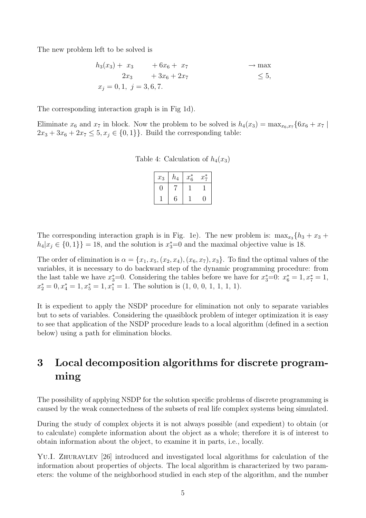The new problem left to be solved is

$$
h_3(x_3) + x_3 + 6x_6 + x_7 \rightarrow \max\n2x_3 + 3x_6 + 2x_7 \le 5,\nx_j = 0, 1, j = 3, 6, 7.
$$

The corresponding interaction graph is in Fig 1d).

Eliminate  $x_6$  and  $x_7$  in block. Now the problem to be solved is  $h_4(x_3) = \max_{x_6,x_7} \{6x_6 + x_7 \mid x_6 = 1, x_7 = 1\}$  $2x_3 + 3x_6 + 2x_7 \leq 5, x_j \in \{0, 1\}$ . Build the corresponding table:

Table 4: Calculation of  $h_4(x_3)$ 

| $x_3$ | $h_4$ | $x_6^*$ | $x_7^*$ |
|-------|-------|---------|---------|
|       |       |         |         |
|       | ჩ     |         |         |

The corresponding interaction graph is in Fig. 1e). The new problem is:  $\max_{x_3} \{h_3 + x_3 + h_4\}$  $h_4|x_j \in \{0,1\}\}=18$ , and the solution is  $x_3^*=0$  and the maximal objective value is 18.

The order of elimination is  $\alpha = \{x_1, x_5, (x_2, x_4), (x_6, x_7), x_3\}$ . To find the optimal values of the variables, it is necessary to do backward step of the dynamic programming procedure: from the last table we have  $x_3^* = 0$ . Considering the tables before we have for  $x_3^* = 0$ :  $x_6^* = 1, x_7^* = 1$ ,  $x_2^* = 0, x_4^* = 1, x_5^* = 1, x_1^* = 1$ . The solution is  $(1, 0, 0, 1, 1, 1, 1)$ .

It is expedient to apply the NSDP procedure for elimination not only to separate variables but to sets of variables. Considering the quasiblock problem of integer optimization it is easy to see that application of the NSDP procedure leads to a local algorithm (defined in a section below) using a path for elimination blocks.

## 3 Local decomposition algorithms for discrete programming

The possibility of applying NSDP for the solution specific problems of discrete programming is caused by the weak connectedness of the subsets of real life complex systems being simulated.

During the study of complex objects it is not always possible (and expedient) to obtain (or to calculate) complete information about the object as a whole; therefore it is of interest to obtain information about the object, to examine it in parts, i.e., locally.

YU.I. ZHURAVLEV [26] introduced and investigated local algorithms for calculation of the information about properties of objects. The local algorithm is characterized by two parameters: the volume of the neighborhood studied in each step of the algorithm, and the number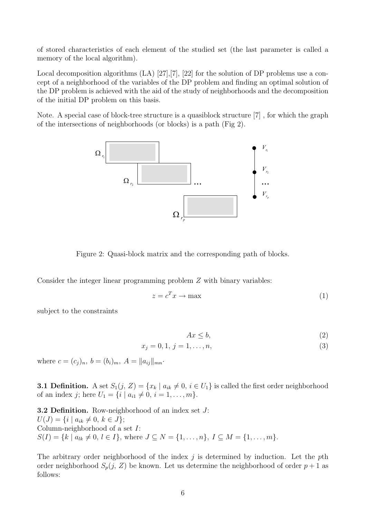of stored characteristics of each element of the studied set (the last parameter is called a memory of the local algorithm).

Local decomposition algorithms (LA) [27], [7], [22] for the solution of DP problems use a concept of a neighborhood of the variables of the DP problem and finding an optimal solution of the DP problem is achieved with the aid of the study of neighborhoods and the decomposition of the initial DP problem on this basis.

Note. A special case of block-tree structure is a quasiblock structure [7] , for which the graph of the intersections of neighborhoods (or blocks) is a path (Fig 2).



Figure 2: Quasi-block matrix and the corresponding path of blocks.

Consider the integer linear programming problem Z with binary variables:

$$
z = c^T x \to \text{max}
$$
 (1)

subject to the constraints

$$
Ax \le b,\tag{2}
$$

$$
x_j = 0, 1, j = 1, \dots, n,
$$
\n(3)

where  $c = (c_j)_n$ ,  $b = (b_i)_m$ ,  $A = ||a_{ij}||_{mn}$ .

**3.1 Definition.** A set  $S_1(j, Z) = \{x_k | a_{ik} \neq 0, i \in U_1\}$  is called the first order neighborhood of an index j; here  $U_1 = \{i \mid a_{i1} \neq 0, i = 1, ..., m\}.$ 

**3.2 Definition.** Row-neighborhood of an index set  $J$ :  $U(J) = \{i \mid a_{ik} \neq 0, k \in J\};$ Column-neighborhood of a set I:  $S(I) = \{k \mid a_{lk} \neq 0, l \in I\},\$  where  $J \subseteq N = \{1, \ldots, n\},\ I \subseteq M = \{1, \ldots, m\}.$ 

The arbitrary order neighborhood of the index  $j$  is determined by induction. Let the pth order neighborhood  $S_p(j, Z)$  be known. Let us determine the neighborhood of order  $p+1$  as follows: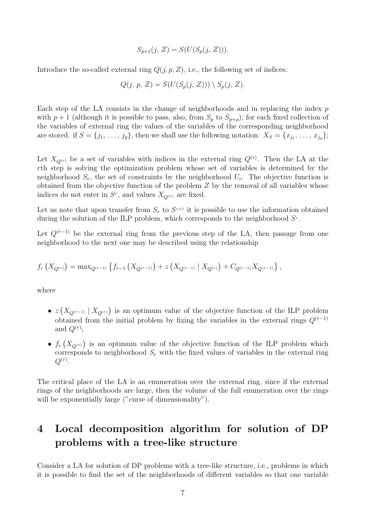$$
S_{p+1}(j, Z) = S(U(S_p(j, Z))).
$$

Introduce the so-called external ring  $Q(j, p, Z)$ , i.e., the following set of indices:

$$
Q(j, p, Z) = S(U(S_p(j, Z))) \setminus S_p(j, Z).
$$

Each step of the LA consists in the change of neighborhoods and in replacing the index  $p$ with  $p + 1$  (although it is possible to pass, also, from  $S_p$  to  $S_{p+\rho}$ ); for each fixed collection of the variables of external ring the values of the variables of the corresponding neighborhood are stored. if  $S = \{j_1, \ldots, j_q\}$ , then we shall use the following notation:  $X_S = \{x_{j_1}, \ldots, x_{j_q}\};$ 

Let  $X_{Q^{(r)}}$  be a set of variables with indices in the external ring  $Q^{(r)}$ . Then the LA at the rth step is solving the optimization problem whose set of variables is determined by the neighborhood  $S_r$ , the set of constraints by the neighborhood  $U_r$ . The objective function is obtained from the objective function of the problem Z by the removal of all variables whose indices do not enter in  $S<sup>r</sup>$ , and values  $X_{Q^{(r)}}$  are fixed.

Let us note that upon transfer from  $S_r$  to  $S^{r+1}$  it is possible to use the information obtained during the solution of the ILP problem, which corresponds to the neighborhood  $S<sup>r</sup>$ .

Let  $Q^{(r-1)}$  be the external ring from the previous step of the LA, then passage from one neighborhood to the next one may be described using the relationship

$$
f_r\left(X_{Q^{(r)}}\right) = \max_{Q^{(r-1)}} \left\{ f_{r-1}\left(X_{Q^{(r-1)}}\right) + z\left(X_{Q^{(r-1)}} \mid X_{Q^{(r)}}\right) + C_{Q^{(r-1)}} X_{Q^{(r-1)}} \right\},\,
$$

where

- $\bullet$  z ¡  $X_{Q^{(r-1)}} \mid X_{Q^{(r)}}$ ¢ is an optimum value of the objective function of the ILP problem obtained from the initial problem by fixing the variables in the external rings  $Q^{(r-1)}$ and  $Q^{(r)}$ ;
- $\bullet$   $f_r$ ¡  $X_{Q^{(r)}}$ ¢ is an optimum value of the objective function of the ILP problem which corresponds to neighborhood  $S_r$  with the fixed values of variables in the external ring  $Q^{(r)}.$

The critical place of the LA is an enumeration over the external ring, since if the external rings of the neighborhoods are large, then the volume of the full enumeration over the rings will be exponentially large ("curse of dimensionality").

### 4 Local decomposition algorithm for solution of DP problems with a tree-like structure

Consider a LA for solution of DP problems with a tree-like structure, i.e., problems in which it is possible to find the set of the neighborhoods of different variables so that one variable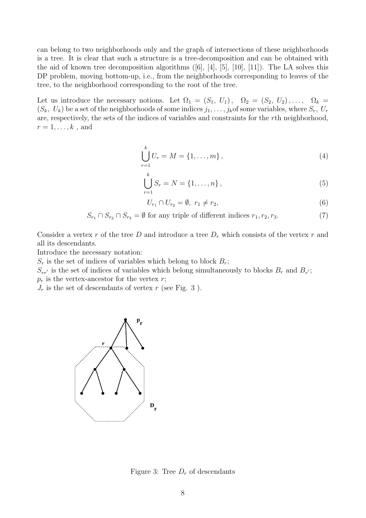can belong to two neighborhoods only and the graph of intersections of these neighborhoods is a tree. It is clear that such a structure is a tree-decomposition and can be obtained with the aid of known tree decomposition algorithms ([6], [4], [5], [10], [11]). The LA solves this DP problem, moving bottom-up, i.e., from the neighborhoods corresponding to leaves of the tree, to the neighborhood corresponding to the root of the tree.

Let us introduce the necessary notions. Let  $\Omega_1 = (S_1, U_1), \Omega_2 = (S_2, U_2), \ldots, \Omega_k =$  $(S_k, U_k)$  be a set of the neighborhoods of some indices  $j_1, \ldots, j_k$  of some variables, where  $S_r$ ,  $U_r$ are, respectively, the sets of the indices of variables and constraints for the rth neighborhood,  $r=1,\ldots,k$ , and

$$
\bigcup_{r=1}^{k} U_r = M = \{1, \dots, m\},\tag{4}
$$

$$
\bigcup_{r=1}^{k} S_r = N = \{1, \dots, n\},\tag{5}
$$

$$
U_{r_1} \cap U_{r_2} = \emptyset, \ r_1 \neq r_2,\tag{6}
$$

$$
S_{r_1} \cap S_{r_2} \cap S_{r_3} = \emptyset
$$
 for any triple of different indices  $r_1, r_2, r_3$ . (7)

Consider a vertex r of the tree D and introduce a tree  $D<sub>r</sub>$  which consists of the vertex r and all its descendants.

Introduce the necessary notation:

 $S_r$  is the set of indices of variables which belong to block  $B_r$ ;

 $S_{rr'}$  is the set of indices of variables which belong simultaneously to blocks  $B_r$  and  $B_{r'}$ ;  $p_r$  is the vertex-ancestor for the vertex r;

 $J_r$  is the set of descendants of vertex r (see Fig. 3).



Figure 3: Tree  $D<sub>r</sub>$  of descendants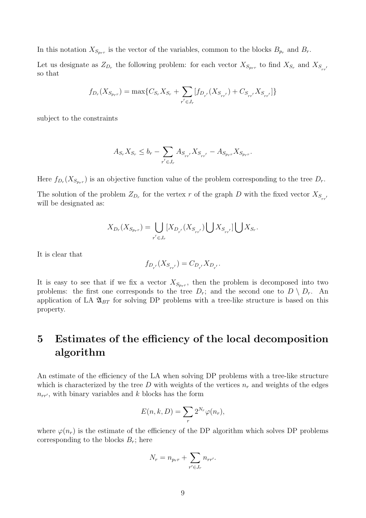In this notation  $X_{S_{p_r}}$  is the vector of the variables, common to the blocks  $B_{p_r}$  and  $B_r$ .

Let us designate as  $Z_{D_r}$  the following problem: for each vector  $X_{S_{p_r r}}$  to find  $X_{S_r}$  and  $X_{S_{rr}}$ so that

$$
f_{D_r}(X_{S_{prr}}) = \max\{C_{S_r}X_{S_r} + \sum_{r' \in J_r} [f_{D_{r'}}(X_{S_{rr'}}) + C_{S_{rr'}}X_{S_{rr'}}]\}
$$

subject to the constraints

$$
A_{S_r} X_{S_r} \le b_r - \sum_{r' \in J_r} A_{S_{rr'}} X_{S_{rr'}} - A_{S_{pr}r} X_{S_{pr}r}.
$$

Here  $f_{D_r}(X_{S_{p_r}})$  is an objective function value of the problem corresponding to the tree  $D_r$ .

The solution of the problem  $Z_{D_r}$  for the vertex r of the graph D with the fixed vector  $X_{S_{rr'}}$ will be designated as:

$$
X_{D_r}(X_{S_{p_r r}}) = \bigcup_{r' \in J_r} [X_{D_{r'}}(X_{S_{r r'}}) \bigcup X_{S_{r r'}}] \bigcup X_{S_r}.
$$

It is clear that

$$
f_{D_{r^{'}}}(X_{S_{rr^{'}}})=C_{D_{r^{'}}}X_{D_{r^{'}}}.
$$

It is easy to see that if we fix a vector  $X_{S_{prr}}$ , then the problem is decomposed into two problems: the first one corresponds to the tree  $D_r$ ; and the second one to  $D \setminus D_r$ . An application of LA  $\mathfrak{A}_{BT}$  for solving DP problems with a tree-like structure is based on this property.

# 5 Estimates of the efficiency of the local decomposition algorithm

An estimate of the efficiency of the LA when solving DP problems with a tree-like structure which is characterized by the tree D with weights of the vertices  $n_r$  and weights of the edges  $n_{rr}$ , with binary variables and k blocks has the form

$$
E(n,k,D) = \sum_{r} 2^{N_r} \varphi(n_r),
$$

where  $\varphi(n_r)$  is the estimate of the efficiency of the DP algorithm which solves DP problems corresponding to the blocks  $B_r$ ; here

$$
N_r = n_{p_r r} + \sum_{r' \in J_r} n_{r r'}.
$$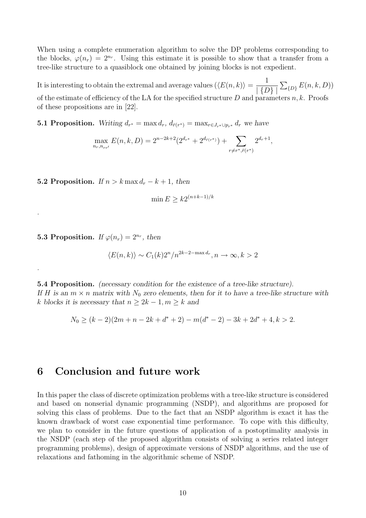When using a complete enumeration algorithm to solve the DP problems corresponding to the blocks,  $\varphi(n_r) = 2^{n_r}$ . Using this estimate it is possible to show that a transfer from a tree-like structure to a quasiblock one obtained by joining blocks is not expedient.

It is interesting to obtain the extremal and average values  $(\langle E(n, k) \rangle =$ 1  $\mid \{D\}\mid$  $\overline{ }$  $_{\{D\}} E(n, k, D))$ of the estimate of efficiency of the LA for the specified structure  $D$  and parameters  $n, k$ . Proofs of these propositions are in [22].

**5.1 Proposition.** Writing  $d_{r^*} = \max d_r$ ,  $d_{\bar{r}(r^*)} = \max_{r \in J_{r^*} \cup p_{r^*}} d_r$  we have

$$
\max_{n_r, n_{rr'}} E(n, k, D) = 2^{n-2k+2} (2^{d_{r^*}} + 2^{d_{\bar{r}(r^*)}}) + \sum_{r \neq r^*, \bar{r}(r^*)} 2^{d_r+1},
$$

5.2 Proposition. If  $n > k \max d_r - k + 1$ , then

$$
\min E \ge k2^{(n+k-1)/k}
$$

**5.3 Proposition.** If  $\varphi(n_r) = 2^{n_r}$ , then

.

.

$$
\langle E(n,k) \rangle \sim C_1(k) 2^n / n^{2k - 2 - \max d_r}, n \to \infty, k > 2
$$

5.4 Proposition. (necessary condition for the existence of a tree-like structure). If H is an  $m \times n$  matrix with  $N_0$  zero elements, then for it to have a tree-like structure with k blocks it is necessary that  $n \geq 2k - 1, m \geq k$  and

$$
N_0 \ge (k-2)(2m+n-2k+d^*+2) - m(d^*-2) - 3k + 2d^* + 4, k > 2.
$$

#### 6 Conclusion and future work

In this paper the class of discrete optimization problems with a tree-like structure is considered and based on nonserial dynamic programming (NSDP), and algorithms are proposed for solving this class of problems. Due to the fact that an NSDP algorithm is exact it has the known drawback of worst case exponential time performance. To cope with this difficulty, we plan to consider in the future questions of application of a postoptimality analysis in the NSDP (each step of the proposed algorithm consists of solving a series related integer programming problems), design of approximate versions of NSDP algorithms, and the use of relaxations and fathoming in the algorithmic scheme of NSDP.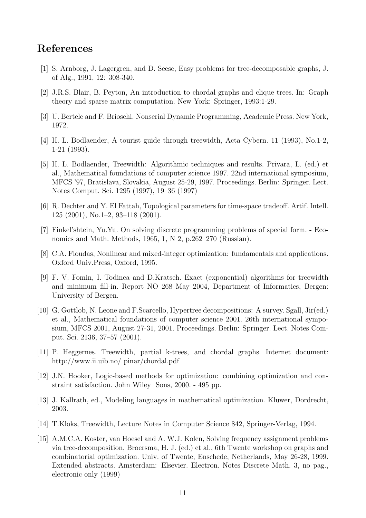### References

- [1] S. Arnborg, J. Lagergren, and D. Seese, Easy problems for tree-decomposable graphs, J. of Alg., 1991, 12: 308-340.
- [2] J.R.S. Blair, B. Peyton, An introduction to chordal graphs and clique trees. In: Graph theory and sparse matrix computation. New York: Springer, 1993:1-29.
- [3] U. Bertele and F. Brioschi, Nonserial Dynamic Programming, Academic Press. New York, 1972.
- [4] H. L. Bodlaender, A tourist guide through treewidth, Acta Cybern. 11 (1993), No.1-2, 1-21 (1993).
- [5] H. L. Bodlaender, Treewidth: Algorithmic techniques and results. Privara, L. (ed.) et al., Mathematical foundations of computer science 1997. 22nd international symposium, MFCS '97, Bratislava, Slovakia, August 25-29, 1997. Proceedings. Berlin: Springer. Lect. Notes Comput. Sci. 1295 (1997), 19–36 (1997)
- [6] R. Dechter and Y. El Fattah, Topological parameters for time-space tradeoff. Artif. Intell. 125 (2001), No.1–2, 93–118 (2001).
- [7] Finkel'shtein, Yu.Yu. On solving discrete programming problems of special form. Economics and Math. Methods, 1965, 1, N 2, p.262–270 (Russian).
- [8] C.A. Floudas, Nonlinear and mixed-integer optimization: fundamentals and applications. Oxford Univ.Press, Oxford, 1995.
- [9] F. V. Fomin, I. Todinca and D.Kratsch. Exact (exponential) algorithms for treewidth and minimum fill-in. Report NO 268 May 2004, Department of Informatics, Bergen: University of Bergen.
- [10] G. Gottlob, N. Leone and F.Scarcello, Hypertree decompositions: A survey. Sgall, Jir(ed.) et al., Mathematical foundations of computer science 2001. 26th international symposium, MFCS 2001, August 27-31, 2001. Proceedings. Berlin: Springer. Lect. Notes Comput. Sci. 2136, 37–57 (2001).
- [11] P. Heggernes. Treewidth, partial k-trees, and chordal graphs. Internet document: http://www.ii.uib.no/ pinar/chordal.pdf
- [12] J.N. Hooker, Logic-based methods for optimization: combining optimization and constraint satisfaction. John Wiley Sons, 2000. - 495 pp.
- [13] J. Kallrath, ed., Modeling languages in mathematical optimization. Kluwer, Dordrecht, 2003.
- [14] T.Kloks, Treewidth, Lecture Notes in Computer Science 842, Springer-Verlag, 1994.
- [15] A.M.C.A. Koster, van Hoesel and A. W.J. Kolen, Solving frequency assignment problems via tree-decomposition, Broersma, H. J. (ed.) et al., 6th Twente workshop on graphs and combinatorial optimization. Univ. of Twente, Enschede, Netherlands, May 26-28, 1999. Extended abstracts. Amsterdam: Elsevier. Electron. Notes Discrete Math. 3, no pag., electronic only (1999)